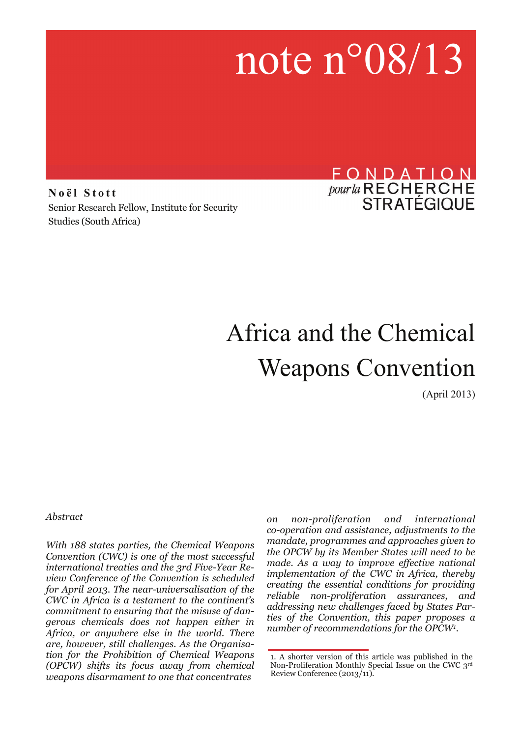# note n°08/13

**Noël Stott**  Senior Research Fellow, Institute for Security Studies (South Africa)

### FONDATION *pour la* RECHERCHE<br>STRATÉGIQUE

## Africa and the Chemical Weapons Convention

(April 2013)

*Abstract* 

*With 188 states parties, the Chemical Weapons Convention (CWC) is one of the most successful international treaties and the 3rd Five-Year Review Conference of the Convention is scheduled for April 2013. The near-universalisation of the CWC in Africa is a testament to the continent's commitment to ensuring that the misuse of dangerous chemicals does not happen either in Africa, or anywhere else in the world. There are, however, still challenges. As the Organisation for the Prohibition of Chemical Weapons (OPCW) shifts its focus away from chemical weapons disarmament to one that concentrates* 

*on non-proliferation and international co-operation and assistance, adjustments to the mandate, programmes and approaches given to the OPCW by its Member States will need to be made. As a way to improve effective national implementation of the CWC in Africa, thereby creating the essential conditions for providing reliable non-proliferation assurances, and addressing new challenges faced by States Parties of the Convention, this paper proposes a number of recommendations for the OPCW1.* 

<sup>1.</sup> A shorter version of this article was published in the Non-Proliferation Monthly Special Issue on the CWC 3rd Review Conference (2013/11).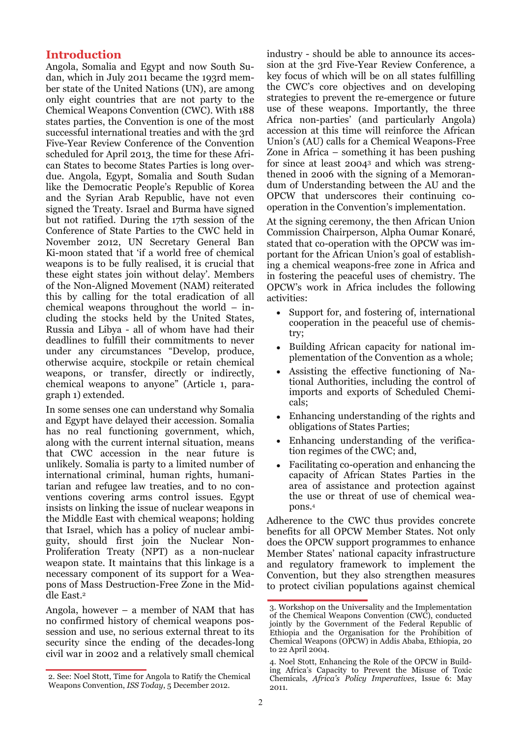#### **Introduction**

Angola, Somalia and Egypt and now South Sudan, which in July 2011 became the 193rd member state of the United Nations (UN), are among only eight countries that are not party to the Chemical Weapons Convention (CWC). With 188 states parties, the Convention is one of the most successful international treaties and with the 3rd Five-Year Review Conference of the Convention scheduled for April 2013, the time for these African States to become States Parties is long overdue. Angola, Egypt, Somalia and South Sudan like the Democratic People's Republic of Korea and the Syrian Arab Republic, have not even signed the Treaty. Israel and Burma have signed but not ratified. During the 17th session of the Conference of State Parties to the CWC held in November 2012, UN Secretary General Ban Ki-moon stated that 'if a world free of chemical weapons is to be fully realised, it is crucial that these eight states join without delay'. Members of the Non-Aligned Movement (NAM) reiterated this by calling for the total eradication of all chemical weapons throughout the world – including the stocks held by the United States, Russia and Libya - all of whom have had their deadlines to fulfill their commitments to never under any circumstances "Develop, produce, otherwise acquire, stockpile or retain chemical weapons, or transfer, directly or indirectly, chemical weapons to anyone" (Article 1, paragraph 1) extended.

In some senses one can understand why Somalia and Egypt have delayed their accession. Somalia has no real functioning government, which, along with the current internal situation, means that CWC accession in the near future is unlikely. Somalia is party to a limited number of international criminal, human rights, humanitarian and refugee law treaties, and to no conventions covering arms control issues. Egypt insists on linking the issue of nuclear weapons in the Middle East with chemical weapons; holding that Israel, which has a policy of nuclear ambiguity, should first join the Nuclear Non-Proliferation Treaty (NPT) as a non-nuclear weapon state. It maintains that this linkage is a necessary component of its support for a Weapons of Mass Destruction-Free Zone in the Middle East.2

Angola, however – a member of NAM that has no confirmed history of chemical weapons possession and use, no serious external threat to its security since the ending of the decades-long civil war in 2002 and a relatively small chemical

industry - should be able to announce its accession at the 3rd Five-Year Review Conference, a key focus of which will be on all states fulfilling the CWC's core objectives and on developing strategies to prevent the re-emergence or future use of these weapons. Importantly, the three Africa non-parties' (and particularly Angola) accession at this time will reinforce the African Union's (AU) calls for a Chemical Weapons-Free Zone in Africa – something it has been pushing for since at least 20043 and which was strengthened in 2006 with the signing of a Memorandum of Understanding between the AU and the OPCW that underscores their continuing cooperation in the Convention's implementation.

At the signing ceremony, the then African Union Commission Chairperson, Alpha Oumar Konaré, stated that co-operation with the OPCW was important for the African Union's goal of establishing a chemical weapons-free zone in Africa and in fostering the peaceful uses of chemistry. The OPCW's work in Africa includes the following activities:

- Support for, and fostering of, international cooperation in the peaceful use of chemistry;
- Building African capacity for national implementation of the Convention as a whole;
- Assisting the effective functioning of National Authorities, including the control of imports and exports of Scheduled Chemicals;
- Enhancing understanding of the rights and obligations of States Parties;
- Enhancing understanding of the verification regimes of the CWC; and,
- Facilitating co-operation and enhancing the capacity of African States Parties in the area of assistance and protection against the use or threat of use of chemical weapons.4

Adherence to the CWC thus provides concrete benefits for all OPCW Member States. Not only does the OPCW support programmes to enhance Member States' national capacity infrastructure and regulatory framework to implement the Convention, but they also strengthen measures to protect civilian populations against chemical

<sup>2.</sup> See: Noel Stott, Time for Angola to Ratify the Chemical Weapons Convention, *ISS Today*, 5 December 2012.

<sup>3.</sup> Workshop on the Universality and the Implementation of the Chemical Weapons Convention (CWC), conducted jointly by the Government of the Federal Republic of Ethiopia and the Organisation for the Prohibition of Chemical Weapons (OPCW) in Addis Ababa, Ethiopia, 20 to 22 April 2004.

<sup>4.</sup> Noel Stott, Enhancing the Role of the OPCW in Building Africa's Capacity to Prevent the Misuse of Toxic Chemicals, *Africa's Policy Imperatives*, Issue 6: May 2011.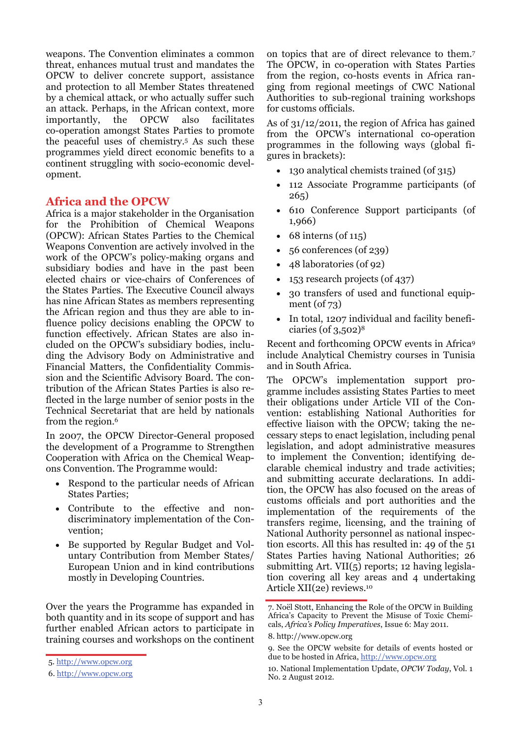weapons. The Convention eliminates a common threat, enhances mutual trust and mandates the OPCW to deliver concrete support, assistance and protection to all Member States threatened by a chemical attack, or who actually suffer such an attack. Perhaps, in the African context, more importantly, the OPCW also facilitates co-operation amongst States Parties to promote the peaceful uses of chemistry.5 As such these programmes yield direct economic benefits to a continent struggling with socio-economic development.

#### **Africa and the OPCW**

Africa is a major stakeholder in the Organisation for the Prohibition of Chemical Weapons (OPCW): African States Parties to the Chemical Weapons Convention are actively involved in the work of the OPCW's policy-making organs and subsidiary bodies and have in the past been elected chairs or vice-chairs of Conferences of the States Parties. The [Executive Council](http://www.opcw.org/about-opcw/executive-council/) always has nine African States as members representing the African region and thus they are able to influence policy decisions enabling the OPCW to function effectively. African States are also included on the OPCW's subsidiary bodies, including the Advisory Body on Administrative and Financial Matters, the Confidentiality Commission and the Scientific Advisory Board. The contribution of the African States Parties is also reflected in the large number of senior posts in the Technical Secretariat that are held by nationals from the region.6

In 2007, the OPCW Director-General proposed the development of a Programme to Strengthen Cooperation with Africa on the Chemical Weapons Convention. The Programme would:

- Respond to the particular needs of African States Parties;
- Contribute to the effective and nondiscriminatory implementation of the Convention;
- Be supported by Regular Budget and Voluntary Contribution from Member States/ European Union and in kind contributions mostly in Developing Countries.

Over the years the Programme has expanded in both quantity and in its scope of support and has further enabled African actors to participate in training courses and workshops on the continent

on topics that are of direct relevance to them.7 The OPCW, in co-operation with States Parties from the region, co-hosts events in Africa ranging from regional meetings of CWC National Authorities to sub-regional training workshops for customs officials.

As of 31/12/2011, the region of Africa has gained from the OPCW's international co-operation programmes in the following ways (global figures in brackets):

- 130 analytical chemists trained (of 315)
- 112 Associate Programme participants (of 265)
- 610 Conference Support participants (of 1,966)
- 68 interns (of  $115$ )
- 56 conferences (of 239)
- 48 laboratories (of 92)
- 153 research projects (of 437)
- 30 transfers of used and functional equipment (of 73)
- In total, 1207 individual and facility beneficiaries (of 3,502)8

Recent and forthcoming OPCW events in Africa9 include Analytical Chemistry courses in Tunisia and in South Africa.

The OPCW's implementation support programme includes assisting States Parties to meet their obligations under Article VII of the Convention: establishing National Authorities for effective liaison with the OPCW; taking the necessary steps to enact legislation, including penal legislation, and adopt administrative measures to implement the Convention; identifying declarable chemical industry and trade activities; and submitting accurate declarations. In addition, the OPCW has also focused on the areas of customs officials and port authorities and the implementation of the requirements of the transfers regime, licensing, and the training of National Authority personnel as national inspection escorts. All this has resulted in: 49 of the 51 States Parties having National Authorities; 26 submitting Art. VII(5) reports; 12 having legislation covering all key areas and 4 undertaking Article XII(2e) reviews.10

<sup>5.</sup><http://www.opcw.org>

<sup>6.</sup> <http://www.opcw.org>

<sup>7.</sup> Noël Stott, Enhancing the Role of the OPCW in Building Africa's Capacity to Prevent the Misuse of Toxic Chemicals, *Africa's Policy Imperatives*, Issue 6: May 2011.

<sup>8.</sup><http://www.opcw.org>

<sup>9.</sup> See the OPCW website for details of events hosted or due to be hosted in Africa,<http://www.opcw.org>

<sup>10.</sup> National Implementation Update, *OPCW Today*, Vol. 1 No. 2 August 2012.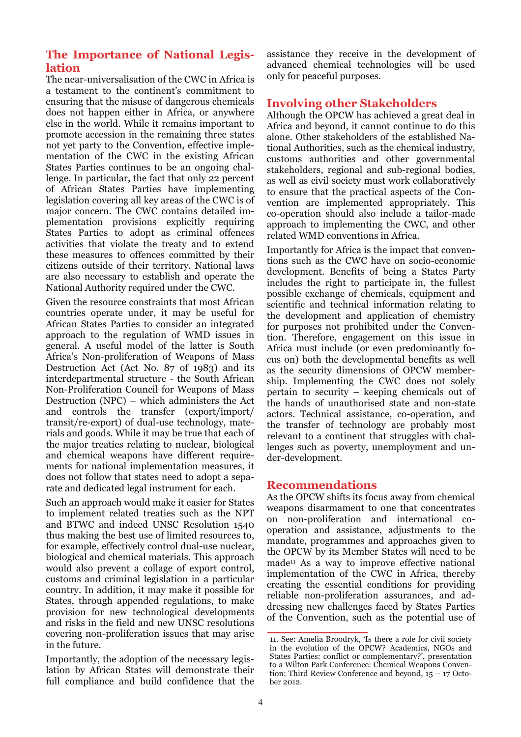#### **The Importance of National Legislation**

The near-universalisation of the CWC in Africa is a testament to the continent's commitment to ensuring that the misuse of dangerous chemicals does not happen either in Africa, or anywhere else in the world. While it remains important to promote accession in the remaining three states not yet party to the Convention, effective implementation of the CWC in the existing African States Parties continues to be an ongoing challenge. In particular, the fact that only 22 percent of African States Parties have implementing legislation covering all key areas of the CWC is of major concern. The CWC contains detailed implementation provisions explicitly requiring States Parties to adopt as criminal offences activities that violate the treaty and to extend these measures to offences committed by their citizens outside of their territory. National laws are also necessary to establish and operate the National Authority required under the CWC.

Given the resource constraints that most African countries operate under, it may be useful for African States Parties to consider an integrated approach to the regulation of WMD issues in general. A useful model of the latter is South Africa's Non-proliferation of Weapons of Mass Destruction Act (Act No. 87 of 1983) and its interdepartmental structure - the South African Non-Proliferation Council for Weapons of Mass Destruction (NPC) – which administers the Act and controls the transfer (export/import/ transit/re-export) of dual-use technology, materials and goods. While it may be true that each of the major treaties relating to nuclear, biological and chemical weapons have different requirements for national implementation measures, it does not follow that states need to adopt a separate and dedicated legal instrument for each.

Such an approach would make it easier for States to implement related treaties such as the NPT and BTWC and indeed UNSC Resolution 1540 thus making the best use of limited resources to, for example, effectively control dual-use nuclear, biological and chemical materials. This approach would also prevent a collage of export control, customs and criminal legislation in a particular country. In addition, it may make it possible for States, through appended regulations, to make provision for new technological developments and risks in the field and new UNSC resolutions covering non-proliferation issues that may arise in the future.

Importantly, the adoption of the necessary legislation by African States will demonstrate their full compliance and build confidence that the

assistance they receive in the development of advanced chemical technologies will be used only for peaceful purposes.

#### **Involving other Stakeholders**

Although the OPCW has achieved a great deal in Africa and beyond, it cannot continue to do this alone. Other stakeholders of the established National Authorities, such as the chemical industry, customs authorities and other governmental stakeholders, regional and sub-regional bodies, as well as civil society must work collaboratively to ensure that the practical aspects of the Convention are implemented appropriately. This co-operation should also include a tailor-made approach to implementing the CWC, and other related WMD conventions in Africa.

Importantly for Africa is the impact that conventions such as the CWC have on socio-economic development. Benefits of being a States Party includes the right to participate in, the fullest possible exchange of chemicals, equipment and scientific and technical information relating to the development and application of chemistry for purposes not prohibited under the Convention. Therefore, engagement on this issue in Africa must include (or even predominantly focus on) both the developmental benefits as well as the security dimensions of OPCW membership. Implementing the CWC does not solely pertain to security – keeping chemicals out of the hands of unauthorised state and non-state actors. Technical assistance, co-operation, and the transfer of technology are probably most relevant to a continent that struggles with challenges such as poverty, unemployment and under-development.

#### **Recommendations**

As the OPCW shifts its focus away from chemical weapons disarmament to one that concentrates on non-proliferation and international cooperation and assistance, adjustments to the mandate, programmes and approaches given to the OPCW by its Member States will need to be made11 As a way to improve effective national implementation of the CWC in Africa, thereby creating the essential conditions for providing reliable non-proliferation assurances, and addressing new challenges faced by States Parties of the Convention, such as the potential use of

<sup>11.</sup> See: Amelia Broodryk, 'Is there a role for civil society in the evolution of the OPCW? Academics, NGOs and States Parties: conflict or complementary?', presentation to a Wilton Park Conference: Chemical Weapons Convention: Third Review Conference and beyond, 15 – 17 October 2012.